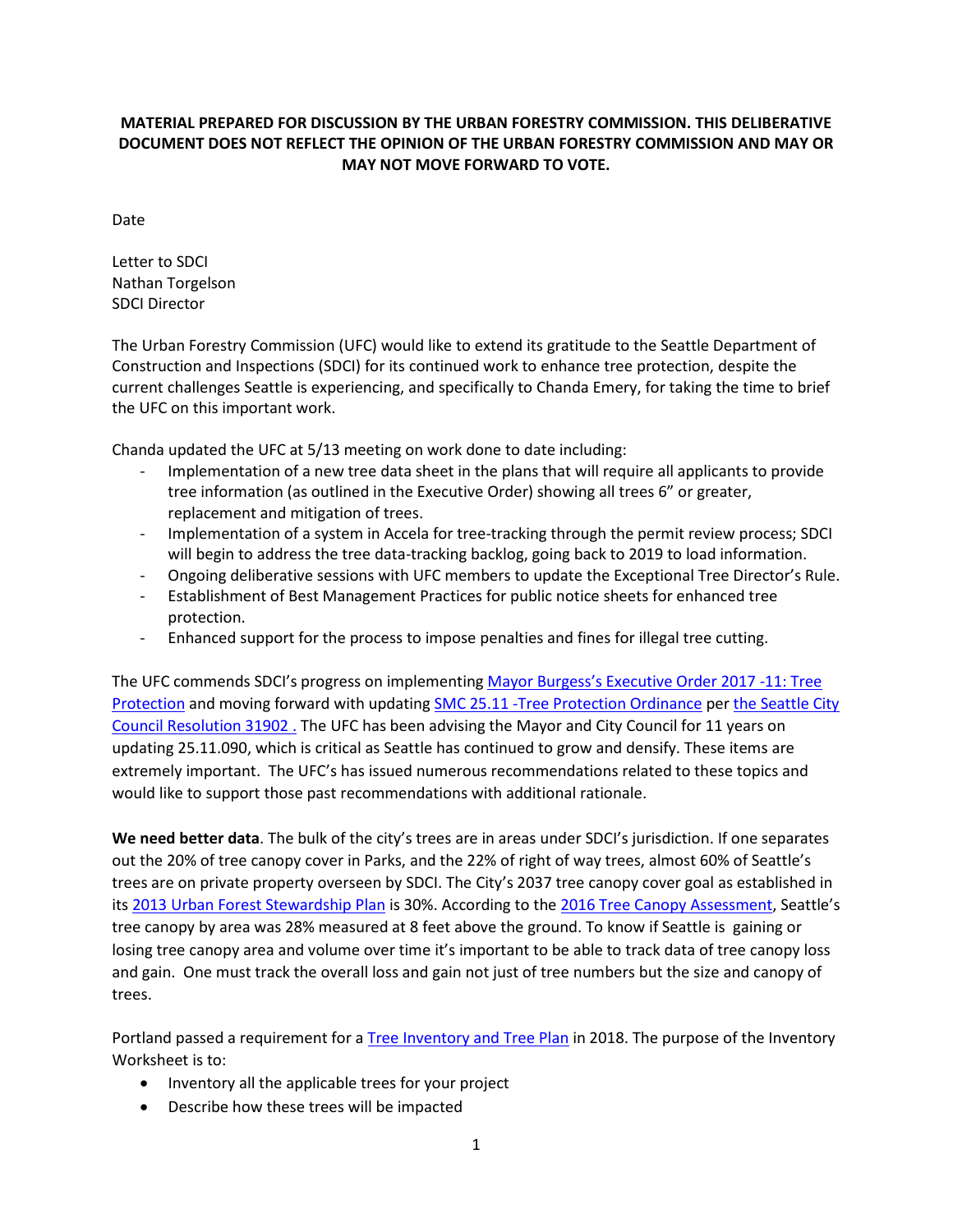## **MATERIAL PREPARED FOR DISCUSSION BY THE URBAN FORESTRY COMMISSION. THIS DELIBERATIVE DOCUMENT DOES NOT REFLECT THE OPINION OF THE URBAN FORESTRY COMMISSION AND MAY OR MAY NOT MOVE FORWARD TO VOTE.**

Date

Letter to SDCI Nathan Torgelson SDCI Director

The Urban Forestry Commission (UFC) would like to extend its gratitude to the Seattle Department of Construction and Inspections (SDCI) for its continued work to enhance tree protection, despite the current challenges Seattle is experiencing, and specifically to Chanda Emery, for taking the time to brief the UFC on this important work.

Chanda updated the UFC at 5/13 meeting on work done to date including:

- Implementation of a new tree data sheet in the plans that will require all applicants to provide tree information (as outlined in the Executive Order) showing all trees 6" or greater, replacement and mitigation of trees.
- Implementation of a system in Accela for tree-tracking through the permit review process; SDCI will begin to address the tree data-tracking backlog, going back to 2019 to load information.
- Ongoing deliberative sessions with UFC members to update the Exceptional Tree Director's Rule.
- Establishment of Best Management Practices for public notice sheets for enhanced tree protection.
- Enhanced support for the process to impose penalties and fines for illegal tree cutting.

The UFC commends SDCI's progress on implementing [Mayor Burgess's Executive Order 2017 -11: Tree](https://www.seattle.gov/Documents/Departments/UrbanForestryCommission/2018/2018docs/TreeExecOrder2017-11FINAL.pdf)  [Protection](https://www.seattle.gov/Documents/Departments/UrbanForestryCommission/2018/2018docs/TreeExecOrder2017-11FINAL.pdf) and moving forward with updating [SMC 25.11 -Tree Protection Ordinance](https://library.municode.com/wa/seattle/codes/municipal_code?nodeId=TIT25ENPRHIPR_CH25.11TRPR_25.11.100ENPE) per [the Seattle City](https://seattle.legistar.com/LegislationDetail.aspx?ID=4129523&GUID=6AC9ED61-D479-4DC9-9EAF-3C765F83E0C6&Options=ID%7CText%7C&Search=31902&FullText=1)  [Council Resolution 31902 .](https://seattle.legistar.com/LegislationDetail.aspx?ID=4129523&GUID=6AC9ED61-D479-4DC9-9EAF-3C765F83E0C6&Options=ID%7CText%7C&Search=31902&FullText=1) The UFC has been advising the Mayor and City Council for 11 years on updating 25.11.090, which is critical as Seattle has continued to grow and densify. These items are extremely important. The UFC's has issued numerous recommendations related to these topics and would like to support those past recommendations with additional rationale.

**We need better data**. The bulk of the city's trees are in areas under SDCI's jurisdiction. If one separates out the 20% of tree canopy cover in Parks, and the 22% of right of way trees, almost 60% of Seattle's trees are on private property overseen by SDCI. The City's 2037 tree canopy cover goal as established in its [2013 Urban Forest Stewardship Plan](https://www.seattle.gov/Documents/Departments/Trees/Mangement/2013_Urban_Forest_Stewardship_Plan.pdf) is 30%. According to the [2016 Tree Canopy Assessment,](http://www.seattle.gov/Documents/Departments/Trees/Mangement/Canopy/Seattle2016CCAFinalReportFINAL.pdf) Seattle's tree canopy by area was 28% measured at 8 feet above the ground. To know if Seattle is gaining or losing tree canopy area and volume over time it's important to be able to track data of tree canopy loss and gain. One must track the overall loss and gain not just of tree numbers but the size and canopy of trees.

Portland passed a requirement for a [Tree Inventory and Tree Plan](https://www.portlandoregon.gov/trees/66987) in 2018. The purpose of the Inventory Worksheet is to:

- Inventory all the applicable trees for your project
- Describe how these trees will be impacted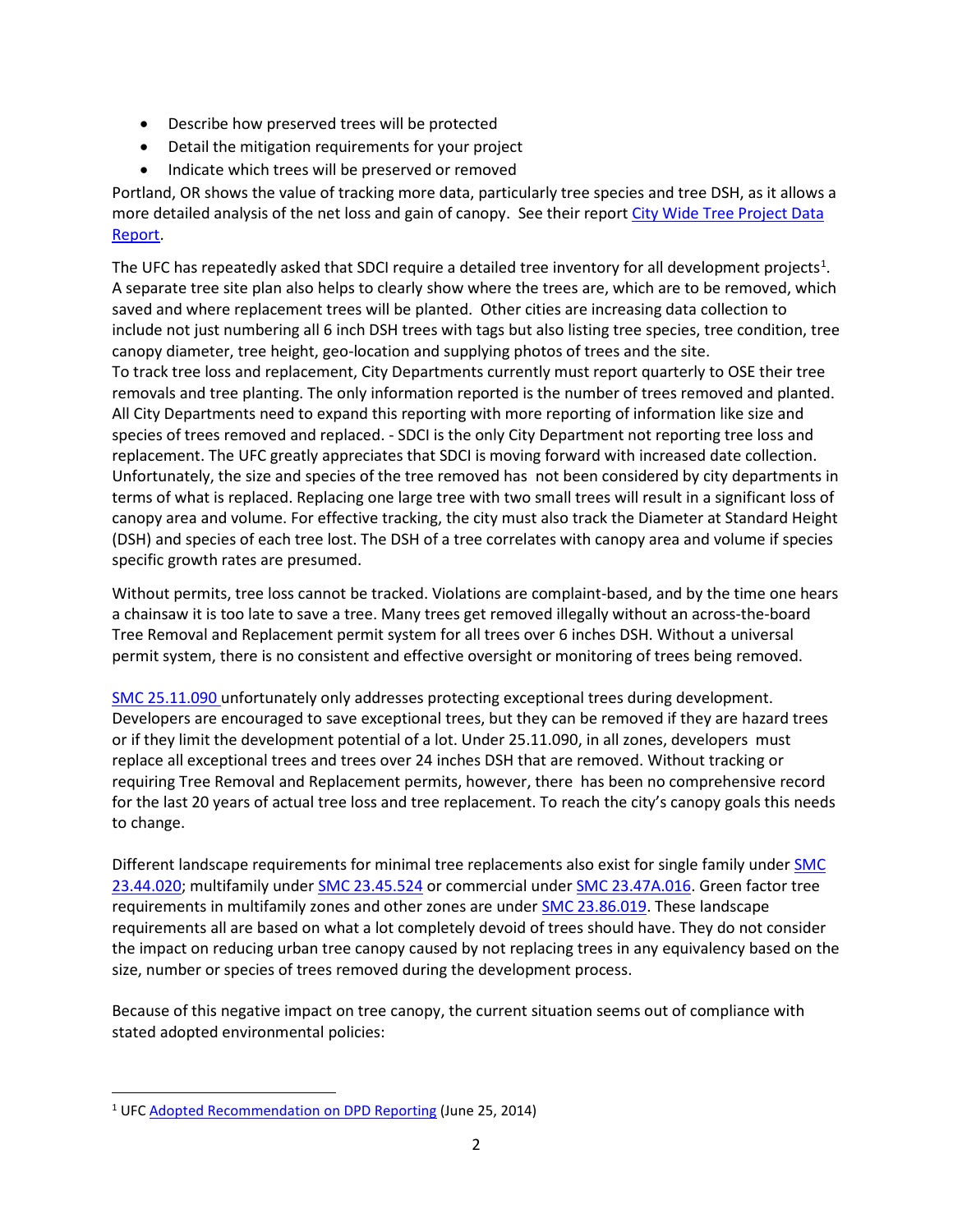- Describe how preserved trees will be protected
- Detail the mitigation requirements for your project
- Indicate which trees will be preserved or removed

Portland, OR shows the value of tracking more data, particularly tree species and tree DSH, as it allows a more detailed analysis of the net loss and gain of canopy. See their report City Wide Tree Project Data [Report.](https://www.portlandoregon.gov/parks/article/571564f)

The UFC has repeatedly asked that SDCI require a detailed tree inventory for all development projects<sup>[1](#page-1-0)</sup>. A separate tree site plan also helps to clearly show where the trees are, which are to be removed, which saved and where replacement trees will be planted. Other cities are increasing data collection to include not just numbering all 6 inch DSH trees with tags but also listing tree species, tree condition, tree canopy diameter, tree height, geo-location and supplying photos of trees and the site. To track tree loss and replacement, City Departments currently must report quarterly to OSE their tree removals and tree planting. The only information reported is the number of trees removed and planted. All City Departments need to expand this reporting with more reporting of information like size and species of trees removed and replaced. - SDCI is the only City Department not reporting tree loss and replacement. The UFC greatly appreciates that SDCI is moving forward with increased date collection. Unfortunately, the size and species of the tree removed has not been considered by city departments in terms of what is replaced. Replacing one large tree with two small trees will result in a significant loss of canopy area and volume. For effective tracking, the city must also track the Diameter at Standard Height (DSH) and species of each tree lost. The DSH of a tree correlates with canopy area and volume if species specific growth rates are presumed.

Without permits, tree loss cannot be tracked. Violations are complaint-based, and by the time one hears a chainsaw it is too late to save a tree. Many trees get removed illegally without an across-the-board Tree Removal and Replacement permit system for all trees over 6 inches DSH. Without a universal permit system, there is no consistent and effective oversight or monitoring of trees being removed.

[SMC 25.11.090](https://library.municode.com/wa/seattle/codes/municipal_code?nodeId=TIT25ENPRHIPR_CH25.11TRPR_25.11.090TRRESIRE) unfortunately only addresses protecting exceptional trees during development. Developers are encouraged to save exceptional trees, but they can be removed if they are hazard trees or if they limit the development potential of a lot. Under 25.11.090, in all zones, developers must replace all exceptional trees and trees over 24 inches DSH that are removed. Without tracking or requiring Tree Removal and Replacement permits, however, there has been no comprehensive record for the last 20 years of actual tree loss and tree replacement. To reach the city's canopy goals this needs to change.

Different landscape requirements for minimal tree replacements also exist for single family under **SMC** [23.44.020;](https://library.municode.com/wa/seattle/codes/municipal_code?nodeId=TIT23LAUSCO_SUBTITLE_IIILAUSRE_CH23.44RESIMI_SUBCHAPTER_IPRUSPEOU_23.44.020TRRE) multifamily under [SMC 23.45.524](https://library.municode.com/wa/seattle/codes/municipal_code?nodeId=TIT23LAUSCO_SUBTITLE_IIILAUSRE_CH23.45MU_23.45.524LAST) or commercial under [SMC 23.47A.016.](https://library.municode.com/wa/seattle/codes/municipal_code?nodeId=TIT23LAUSCO_SUBTITLE_IIILAUSRE_CH23.47ACO_23.47A.016LASCST) Green factor tree requirements in multifamily zones and other zones are under [SMC 23.86.019.](https://library.municode.com/wa/seattle/codes/municipal_code?nodeId=TIT23LAUSCO_SUBTITLE_IVAD_CH23.86ME_23.86.019GRFAME) These landscape requirements all are based on what a lot completely devoid of trees should have. They do not consider the impact on reducing urban tree canopy caused by not replacing trees in any equivalency based on the size, number or species of trees removed during the development process.

Because of this negative impact on tree canopy, the current situation seems out of compliance with stated adopted environmental policies:

<span id="page-1-0"></span><sup>1</sup> UFC [Adopted Recommendation on DPD Reporting](https://www.seattle.gov/Documents/Departments/UrbanForestryCommission/FinalIssuedDocuments/Recommendations/ADOPTEDDPDReportingLetter062514.pdf) (June 25, 2014)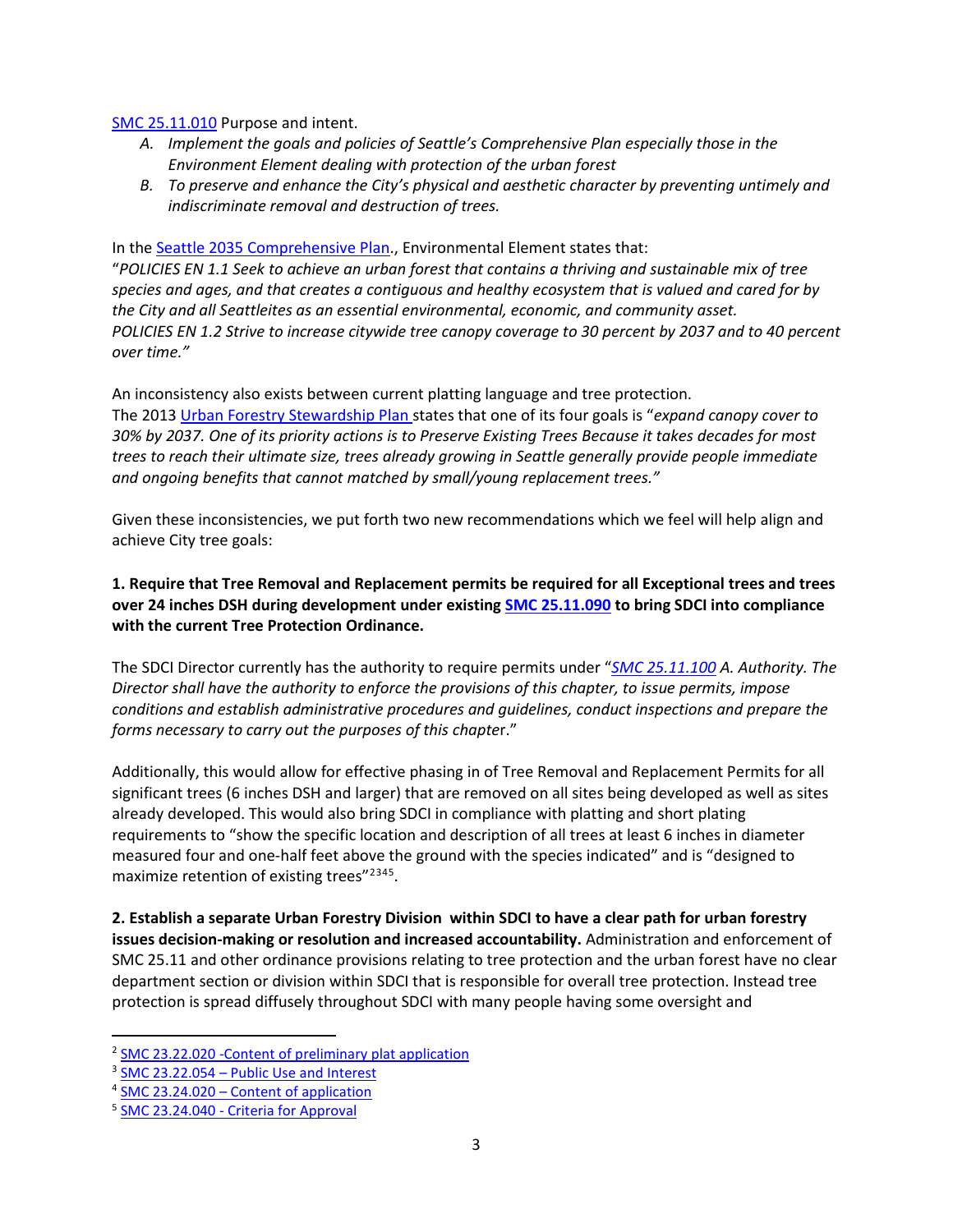[SMC 25.11.010](https://library.municode.com/wa/seattle/codes/municipal_code?nodeId=TIT25ENPRHIPR_CH25.11TRPR_25.11.010PUIN) Purpose and intent.

- *A. Implement the goals and policies of Seattle's Comprehensive Plan especially those in the Environment Element dealing with protection of the urban forest*
- *B. To preserve and enhance the City's physical and aesthetic character by preventing untimely and indiscriminate removal and destruction of trees.*

In the [Seattle 2035 Comprehensive Plan.](http://www.seattle.gov/opcd/ongoing-initiatives/comprehensive-plan), Environmental Element states that:

"*POLICIES EN 1.1 Seek to achieve an urban forest that contains a thriving and sustainable mix of tree species and ages, and that creates a contiguous and healthy ecosystem that is valued and cared for by the City and all Seattleites as an essential environmental, economic, and community asset. POLICIES EN 1.2 Strive to increase citywide tree canopy coverage to 30 percent by 2037 and to 40 percent over time."*

An inconsistency also exists between current platting language and tree protection. The 2013 [Urban Forestry Stewardship Plan](https://www.seattle.gov/Documents/Departments/Trees/Mangement/2013_Urban_Forest_Stewardship_Plan.pdf) states that one of its four goals is "*expand canopy cover to 30% by 2037. One of its priority actions is to Preserve Existing Trees Because it takes decades for most trees to reach their ultimate size, trees already growing in Seattle generally provide people immediate and ongoing benefits that cannot matched by small/young replacement trees."*

Given these inconsistencies, we put forth two new recommendations which we feel will help align and achieve City tree goals:

**1. Require that Tree Removal and Replacement permits be required for all Exceptional trees and trees over 24 inches DSH during development under existing [SMC 25.11.090](https://library.municode.com/wa/seattle/codes/municipal_code?nodeId=TIT25ENPRHIPR_CH25.11TRPR_25.11.090TRRESIRE) to bring SDCI into compliance with the current Tree Protection Ordinance.**

The SDCI Director currently has the authority to require permits under "*[SMC 25.11.100](https://library.municode.com/wa/seattle/codes/municipal_code?nodeId=TIT25ENPRHIPR_CH25.11TRPR_25.11.100ENPE) A. Authority. The Director shall have the authority to enforce the provisions of this chapter, to issue permits, impose conditions and establish administrative procedures and guidelines, conduct inspections and prepare the forms necessary to carry out the purposes of this chapte*r."

Additionally, this would allow for effective phasing in of Tree Removal and Replacement Permits for all significant trees (6 inches DSH and larger) that are removed on all sites being developed as well as sites already developed. This would also bring SDCI in compliance with platting and short plating requirements to "show the specific location and description of all trees at least 6 inches in diameter measured four and one-half feet above the ground with the species indicated" and is "designed to maximize retention of existing trees"<sup>[2](#page-2-0)[3](#page-2-1)[4](#page-2-2)[5](#page-2-3)</sup>.

**2. Establish a separate Urban Forestry Division within SDCI to have a clear path for urban forestry issues decision-making or resolution and increased accountability.** Administration and enforcement of SMC 25.11 and other ordinance provisions relating to tree protection and the urban forest have no clear department section or division within SDCI that is responsible for overall tree protection. Instead tree protection is spread diffusely throughout SDCI with many people having some oversight and

<span id="page-2-0"></span><sup>2</sup> [SMC 23.22.020 -Content of preliminary plat application](https://library.municode.com/wa/seattle/codes/municipal_code?nodeId=TIT23LAUSCO_SUBTITLE_IIPLRE_CH23.22SU_SUBCHAPTER_IPRPLPR_23.22.020COPRPLAP)

<span id="page-2-1"></span><sup>3</sup> SMC 23.22.054 – [Public Use and Interest](https://library.municode.com/wa/seattle/codes/municipal_code?nodeId=TIT23LAUSCO_SUBTITLE_IIPLRE_CH23.22SU_SUBCHAPTER_IIPRPLCO_23.22.054PUUSIN)

<span id="page-2-2"></span><sup>4</sup> SMC 23.24.020 – [Content of application](https://library.municode.com/wa/seattle/codes/municipal_code?nodeId=TIT23LAUSCO_SUBTITLE_IIPLRE_CH23.24SHPL_23.24.020COAP)

<span id="page-2-3"></span><sup>5</sup> SMC 23.24.040 - [Criteria for Approval](https://library.municode.com/wa/seattle/codes/municipal_code?nodeId=TIT23LAUSCO_SUBTITLE_IIPLRE_CH23.24SHPL_23.24.040CRAP)